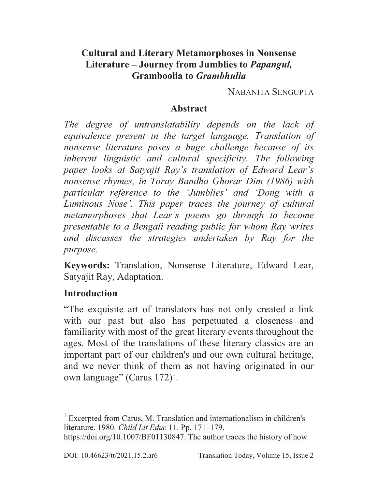## **Cultural and Literary Metamorphoses in Nonsense Literature – Journey from Jumblies to** *Papangul,*  **Gramboolia to** *Grambhulia*

NABANITA SENGUPTA

### **Abstract**

*The degree of untranslatability depends on the lack of equivalence present in the target language. Translation of nonsense literature poses a huge challenge because of its inherent linguistic and cultural specificity. The following paper looks at Satyajit Ray's translation of Edward Lear's nonsense rhymes, in Toray Bandha Ghorar Dim (1986) with particular reference to the 'Jumblies' and 'Dong with a Luminous Nose'. This paper traces the journey of cultural metamorphoses that Lear's poems go through to become presentable to a Bengali reading public for whom Ray writes and discusses the strategies undertaken by Ray for the purpose.* 

**Keywords:** Translation, Nonsense Literature, Edward Lear, Satyajit Ray, Adaptation.

### **Introduction**

 $\overline{a}$ 

"The exquisite art of translators has not only created a link with our past but also has perpetuated a closeness and familiarity with most of the great literary events throughout the ages. Most of the translations of these literary classics are an important part of our children's and our own cultural heritage, and we never think of them as not having originated in our own language" (Carus  $172$ )<sup>1</sup>.

<sup>&</sup>lt;sup>1</sup> Excerpted from Carus, M. Translation and internationalism in children's literature. 1980. *Child Lit Educ* 11. Pp. 171–179.

https://doi.org/10.1007/BF01130847. The author traces the history of how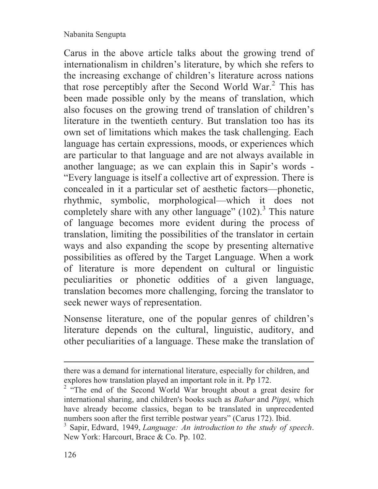Carus in the above article talks about the growing trend of internationalism in children's literature, by which she refers to the increasing exchange of children's literature across nations that rose perceptibly after the Second World War.<sup>2</sup> This has been made possible only by the means of translation, which also focuses on the growing trend of translation of children's literature in the twentieth century. But translation too has its own set of limitations which makes the task challenging. Each language has certain expressions, moods, or experiences which are particular to that language and are not always available in another language; as we can explain this in Sapir's words - "Every language is itself a collective art of expression. There is concealed in it a particular set of aesthetic factors—phonetic, rhythmic, symbolic, morphological—which it does not completely share with any other language" (102).<sup>3</sup> This nature of language becomes more evident during the process of translation, limiting the possibilities of the translator in certain ways and also expanding the scope by presenting alternative possibilities as offered by the Target Language. When a work of literature is more dependent on cultural or linguistic peculiarities or phonetic oddities of a given language, translation becomes more challenging, forcing the translator to seek newer ways of representation.

Nonsense literature, one of the popular genres of children's literature depends on the cultural, linguistic, auditory, and other peculiarities of a language. These make the translation of

there was a demand for international literature, especially for children, and explores how translation played an important role in it. Pp 172.

<sup>&</sup>lt;sup>2</sup> "The end of the Second World War brought about a great desire for international sharing, and children's books such as *Babar* and *Pippi,* which have already become classics, began to be translated in unprecedented numbers soon after the first terrible postwar years" (Carus 172). Ibid.

<sup>3</sup> Sapir, Edward, 1949, *Language: An introduction to the study of speech*. New York: Harcourt, Brace & Co. Pp. 102.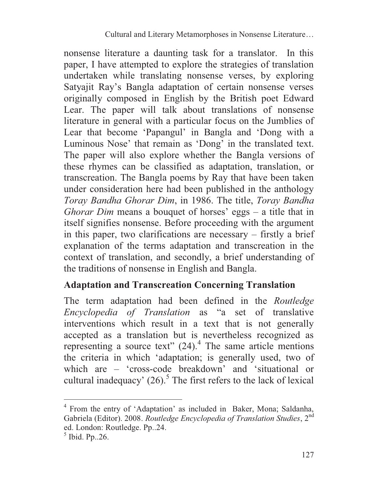nonsense literature a daunting task for a translator. In this paper, I have attempted to explore the strategies of translation undertaken while translating nonsense verses, by exploring Satyajit Ray's Bangla adaptation of certain nonsense verses originally composed in English by the British poet Edward Lear. The paper will talk about translations of nonsense literature in general with a particular focus on the Jumblies of Lear that become 'Papangul' in Bangla and 'Dong with a Luminous Nose' that remain as 'Dong' in the translated text. The paper will also explore whether the Bangla versions of these rhymes can be classified as adaptation, translation, or transcreation. The Bangla poems by Ray that have been taken under consideration here had been published in the anthology *Toray Bandha Ghorar Dim*, in 1986. The title, *Toray Bandha Ghorar Dim* means a bouquet of horses' eggs – a title that in itself signifies nonsense. Before proceeding with the argument in this paper, two clarifications are necessary – firstly a brief explanation of the terms adaptation and transcreation in the context of translation, and secondly, a brief understanding of the traditions of nonsense in English and Bangla.

## **Adaptation and Transcreation Concerning Translation**

The term adaptation had been defined in the *Routledge Encyclopedia of Translation* as "a set of translative interventions which result in a text that is not generally accepted as a translation but is nevertheless recognized as representing a source text"  $(24)$ .<sup>4</sup> The same article mentions the criteria in which 'adaptation; is generally used, two of which are – 'cross-code breakdown' and 'situational or cultural inadequacy'  $(26)$ .<sup>5</sup> The first refers to the lack of lexical

<sup>4</sup> From the entry of 'Adaptation' as included in Baker, Mona; Saldanha, Gabriela (Editor). 2008. *Routledge Encyclopedia of Translation Studies*, 2nd ed. London: Routledge. Pp..24.

<sup>5</sup> Ibid. Pp..26.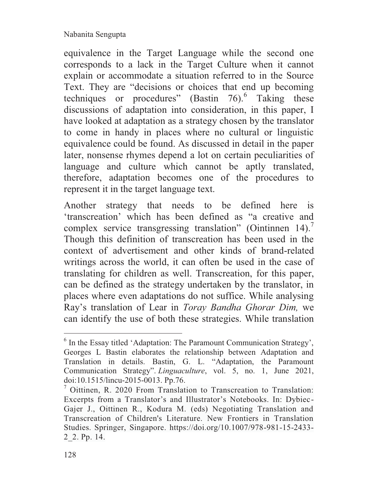equivalence in the Target Language while the second one corresponds to a lack in the Target Culture when it cannot explain or accommodate a situation referred to in the Source Text. They are "decisions or choices that end up becoming techniques or procedures" (Bastin 76).<sup>6</sup> Taking these discussions of adaptation into consideration, in this paper, I have looked at adaptation as a strategy chosen by the translator to come in handy in places where no cultural or linguistic equivalence could be found. As discussed in detail in the paper later, nonsense rhymes depend a lot on certain peculiarities of language and culture which cannot be aptly translated, therefore, adaptation becomes one of the procedures to represent it in the target language text.

Another strategy that needs to be defined here is 'transcreation' which has been defined as "a creative and complex service transgressing translation" (Ointinnen 14).<sup>7</sup> Though this definition of transcreation has been used in the context of advertisement and other kinds of brand-related writings across the world, it can often be used in the case of translating for children as well. Transcreation, for this paper, can be defined as the strategy undertaken by the translator, in places where even adaptations do not suffice. While analysing Ray's translation of Lear in *Toray Bandha Ghorar Dim,* we can identify the use of both these strategies. While translation

<sup>&</sup>lt;sup>6</sup> In the Essay titled 'Adaptation: The Paramount Communication Strategy', Georges L Bastin elaborates the relationship between Adaptation and Translation in details. Bastin, G. L. "Adaptation, the Paramount Communication Strategy". *Linguaculture*, vol. 5, no. 1, June 2021, doi:10.1515/lincu-2015-0013. Pp.76.

<sup>&</sup>lt;sup>7</sup> Oittinen, R. 2020 From Translation to Transcreation to Translation: Excerpts from a Translator's and Illustrator's Notebooks. In: Dybiec-Gajer J., Oittinen R., Kodura M. (eds) Negotiating Translation and Transcreation of Children's Literature. New Frontiers in Translation Studies. Springer, Singapore. https://doi.org/10.1007/978-981-15-2433- 2\_2. Pp. 14.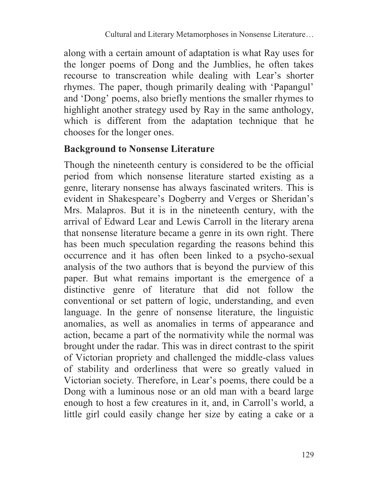along with a certain amount of adaptation is what Ray uses for the longer poems of Dong and the Jumblies, he often takes recourse to transcreation while dealing with Lear's shorter rhymes. The paper, though primarily dealing with 'Papangul' and 'Dong' poems, also briefly mentions the smaller rhymes to highlight another strategy used by Ray in the same anthology, which is different from the adaptation technique that he chooses for the longer ones.

## **Background to Nonsense Literature**

Though the nineteenth century is considered to be the official period from which nonsense literature started existing as a genre, literary nonsense has always fascinated writers. This is evident in Shakespeare's Dogberry and Verges or Sheridan's Mrs. Malapros. But it is in the nineteenth century, with the arrival of Edward Lear and Lewis Carroll in the literary arena that nonsense literature became a genre in its own right. There has been much speculation regarding the reasons behind this occurrence and it has often been linked to a psycho-sexual analysis of the two authors that is beyond the purview of this paper. But what remains important is the emergence of a distinctive genre of literature that did not follow the conventional or set pattern of logic, understanding, and even language. In the genre of nonsense literature, the linguistic anomalies, as well as anomalies in terms of appearance and action, became a part of the normativity while the normal was brought under the radar. This was in direct contrast to the spirit of Victorian propriety and challenged the middle-class values of stability and orderliness that were so greatly valued in Victorian society. Therefore, in Lear's poems, there could be a Dong with a luminous nose or an old man with a beard large enough to host a few creatures in it, and, in Carroll's world, a little girl could easily change her size by eating a cake or a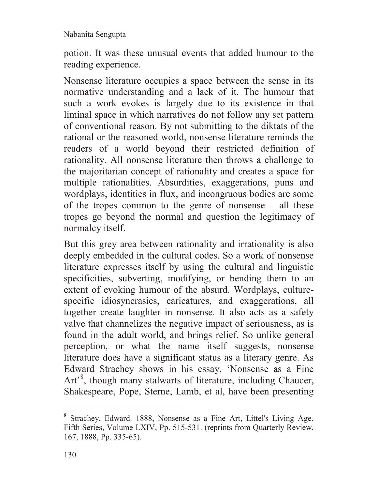potion. It was these unusual events that added humour to the reading experience.

Nonsense literature occupies a space between the sense in its normative understanding and a lack of it. The humour that such a work evokes is largely due to its existence in that liminal space in which narratives do not follow any set pattern of conventional reason. By not submitting to the diktats of the rational or the reasoned world, nonsense literature reminds the readers of a world beyond their restricted definition of rationality. All nonsense literature then throws a challenge to the majoritarian concept of rationality and creates a space for multiple rationalities. Absurdities, exaggerations, puns and wordplays, identities in flux, and incongruous bodies are some of the tropes common to the genre of nonsense – all these tropes go beyond the normal and question the legitimacy of normalcy itself.

But this grey area between rationality and irrationality is also deeply embedded in the cultural codes. So a work of nonsense literature expresses itself by using the cultural and linguistic specificities, subverting, modifying, or bending them to an extent of evoking humour of the absurd. Wordplays, culturespecific idiosyncrasies, caricatures, and exaggerations, all together create laughter in nonsense. It also acts as a safety valve that channelizes the negative impact of seriousness, as is found in the adult world, and brings relief. So unlike general perception, or what the name itself suggests, nonsense literature does have a significant status as a literary genre. As Edward Strachey shows in his essay, 'Nonsense as a Fine Art<sup>8</sup>, though many stalwarts of literature, including Chaucer, Shakespeare, Pope, Sterne, Lamb, et al, have been presenting

<sup>8</sup> Strachey, Edward. 1888, Nonsense as a Fine Art, Littel's Living Age. Fifth Series, Volume LXIV, Pp. 515-531. (reprints from Quarterly Review, 167, 1888, Pp. 335-65).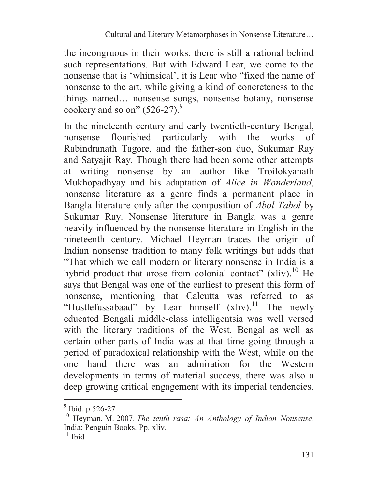the incongruous in their works, there is still a rational behind such representations. But with Edward Lear, we come to the nonsense that is 'whimsical', it is Lear who "fixed the name of nonsense to the art, while giving a kind of concreteness to the things named… nonsense songs, nonsense botany, nonsense cookery and so on"  $(526-27)$ .<sup>9</sup>

In the nineteenth century and early twentieth-century Bengal, nonsense flourished particularly with the works of Rabindranath Tagore, and the father-son duo, Sukumar Ray and Satyajit Ray. Though there had been some other attempts at writing nonsense by an author like Troilokyanath Mukhopadhyay and his adaptation of *Alice in Wonderland*, nonsense literature as a genre finds a permanent place in Bangla literature only after the composition of *Abol Tabol* by Sukumar Ray. Nonsense literature in Bangla was a genre heavily influenced by the nonsense literature in English in the nineteenth century. Michael Heyman traces the origin of Indian nonsense tradition to many folk writings but adds that "That which we call modern or literary nonsense in India is a hybrid product that arose from colonial contact" (xliv).<sup>10</sup> He says that Bengal was one of the earliest to present this form of nonsense, mentioning that Calcutta was referred to as "Hustlefussabaad" by Lear himself  $(xliv)$ .<sup>11</sup> The newly educated Bengali middle-class intelligentsia was well versed with the literary traditions of the West. Bengal as well as certain other parts of India was at that time going through a period of paradoxical relationship with the West, while on the one hand there was an admiration for the Western developments in terms of material success, there was also a deep growing critical engagement with its imperial tendencies.  $\overline{a}$ 

<sup>&</sup>lt;sup>9</sup> Ibid. p 526-27

<sup>10</sup> Heyman, M. 2007. *The tenth rasa: An Anthology of Indian Nonsense*. India: Penguin Books. Pp. xliv.

 $\overline{11}$  Ibid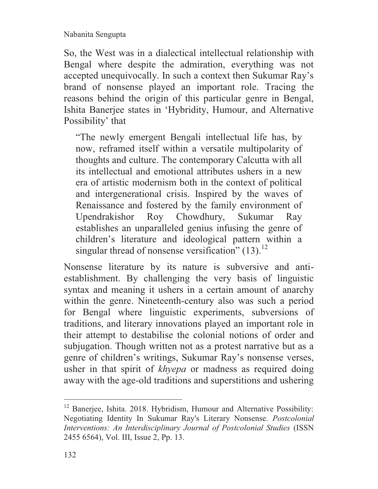So, the West was in a dialectical intellectual relationship with Bengal where despite the admiration, everything was not accepted unequivocally. In such a context then Sukumar Ray's brand of nonsense played an important role. Tracing the reasons behind the origin of this particular genre in Bengal, Ishita Banerjee states in 'Hybridity, Humour, and Alternative Possibility' that

"The newly emergent Bengali intellectual life has, by now, reframed itself within a versatile multipolarity of thoughts and culture. The contemporary Calcutta with all its intellectual and emotional attributes ushers in a new era of artistic modernism both in the context of political and intergenerational crisis. Inspired by the waves of Renaissance and fostered by the family environment of Upendrakishor Roy Chowdhury, Sukumar Ray establishes an unparalleled genius infusing the genre of children's literature and ideological pattern within a singular thread of nonsense versification"  $(13)$ .<sup>12</sup>

Nonsense literature by its nature is subversive and antiestablishment. By challenging the very basis of linguistic syntax and meaning it ushers in a certain amount of anarchy within the genre. Nineteenth-century also was such a period for Bengal where linguistic experiments, subversions of traditions, and literary innovations played an important role in their attempt to destabilise the colonial notions of order and subjugation. Though written not as a protest narrative but as a genre of children's writings, Sukumar Ray's nonsense verses, usher in that spirit of *khyepa* or madness as required doing away with the age-old traditions and superstitions and ushering

<sup>&</sup>lt;sup>12</sup> Banerjee, Ishita. 2018. Hybridism, Humour and Alternative Possibility: Negotiating Identity In Sukumar Ray's Literary Nonsense. *Postcolonial Interventions: An Interdisciplinary Journal of Postcolonial Studies* (ISSN 2455 6564), Vol. III, Issue 2, Pp. 13.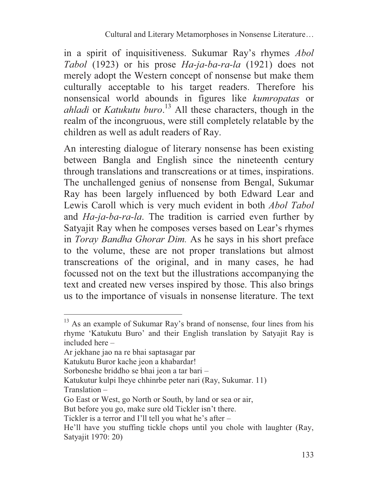in a spirit of inquisitiveness. Sukumar Ray's rhymes *Abol Tabol* (1923) or his prose *Ha-ja-ba-ra-la* (1921) does not merely adopt the Western concept of nonsense but make them culturally acceptable to his target readers. Therefore his nonsensical world abounds in figures like *kumropatas* or *ahladi* or *Katukutu buro*. <sup>13</sup> All these characters, though in the realm of the incongruous, were still completely relatable by the children as well as adult readers of Ray.

An interesting dialogue of literary nonsense has been existing between Bangla and English since the nineteenth century through translations and transcreations or at times, inspirations. The unchallenged genius of nonsense from Bengal, Sukumar Ray has been largely influenced by both Edward Lear and Lewis Caroll which is very much evident in both *Abol Tabol*  and *Ha-ja-ba-ra-la*. The tradition is carried even further by Satyajit Ray when he composes verses based on Lear's rhymes in *Toray Bandha Ghorar Dim.* As he says in his short preface to the volume, these are not proper translations but almost transcreations of the original, and in many cases, he had focussed not on the text but the illustrations accompanying the text and created new verses inspired by those. This also brings us to the importance of visuals in nonsense literature. The text

 $13$  As an example of Sukumar Ray's brand of nonsense, four lines from his rhyme 'Katukutu Buro' and their English translation by Satyajit Ray is included here –

Ar jekhane jao na re bhai saptasagar par

Katukutu Buror kache jeon a khabardar!

Sorboneshe briddho se bhai jeon a tar bari –

Katukutur kulpi lheye chhinrbe peter nari (Ray, Sukumar. 11) Translation –

Go East or West, go North or South, by land or sea or air,

But before you go, make sure old Tickler isn't there.

Tickler is a terror and I'll tell you what he's after –

He'll have you stuffing tickle chops until you chole with laughter (Ray, Satyajit 1970: 20)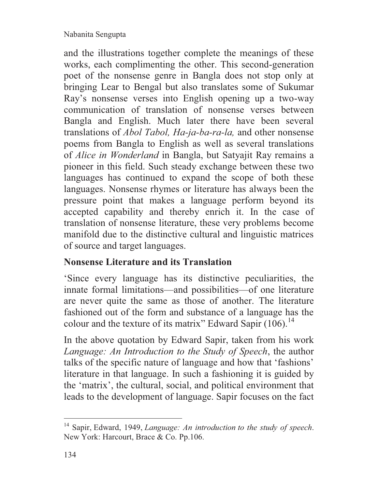and the illustrations together complete the meanings of these works, each complimenting the other. This second-generation poet of the nonsense genre in Bangla does not stop only at bringing Lear to Bengal but also translates some of Sukumar Ray's nonsense verses into English opening up a two-way communication of translation of nonsense verses between Bangla and English. Much later there have been several translations of *Abol Tabol, Ha-ja-ba-ra-la,* and other nonsense poems from Bangla to English as well as several translations of *Alice in Wonderland* in Bangla, but Satyajit Ray remains a pioneer in this field. Such steady exchange between these two languages has continued to expand the scope of both these languages. Nonsense rhymes or literature has always been the pressure point that makes a language perform beyond its accepted capability and thereby enrich it. In the case of translation of nonsense literature, these very problems become manifold due to the distinctive cultural and linguistic matrices of source and target languages.

# **Nonsense Literature and its Translation**

'Since every language has its distinctive peculiarities, the innate formal limitations—and possibilities—of one literature are never quite the same as those of another. The literature fashioned out of the form and substance of a language has the colour and the texture of its matrix" Edward Sapir  $(106)$ .<sup>14</sup>

In the above quotation by Edward Sapir, taken from his work *Language: An Introduction to the Study of Speech*, the author talks of the specific nature of language and how that 'fashions' literature in that language. In such a fashioning it is guided by the 'matrix', the cultural, social, and political environment that leads to the development of language. Sapir focuses on the fact

<sup>14</sup> Sapir, Edward, 1949, *Language: An introduction to the study of speech*. New York: Harcourt, Brace & Co. Pp.106.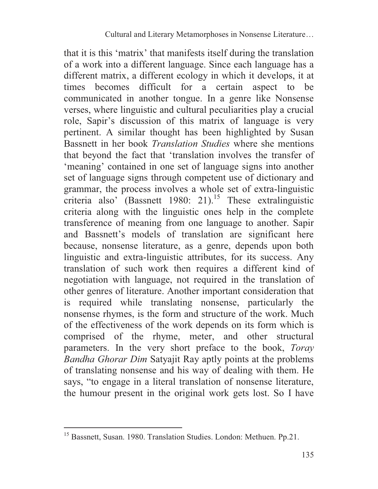that it is this 'matrix' that manifests itself during the translation of a work into a different language. Since each language has a different matrix, a different ecology in which it develops, it at times becomes difficult for a certain aspect to be communicated in another tongue. In a genre like Nonsense verses, where linguistic and cultural peculiarities play a crucial role, Sapir's discussion of this matrix of language is very pertinent. A similar thought has been highlighted by Susan Bassnett in her book *Translation Studies* where she mentions that beyond the fact that 'translation involves the transfer of 'meaning' contained in one set of language signs into another set of language signs through competent use of dictionary and grammar, the process involves a whole set of extra-linguistic criteria also' (Bassnett 1980: 21).<sup>15</sup> These extralinguistic criteria along with the linguistic ones help in the complete transference of meaning from one language to another. Sapir and Bassnett's models of translation are significant here because, nonsense literature, as a genre, depends upon both linguistic and extra-linguistic attributes, for its success. Any translation of such work then requires a different kind of negotiation with language, not required in the translation of other genres of literature. Another important consideration that is required while translating nonsense, particularly the nonsense rhymes, is the form and structure of the work. Much of the effectiveness of the work depends on its form which is comprised of the rhyme, meter, and other structural parameters. In the very short preface to the book, *Toray Bandha Ghorar Dim* Satyajit Ray aptly points at the problems of translating nonsense and his way of dealing with them. He says, "to engage in a literal translation of nonsense literature, the humour present in the original work gets lost. So I have

<sup>&</sup>lt;sup>15</sup> Bassnett, Susan. 1980. Translation Studies. London: Methuen. Pp.21.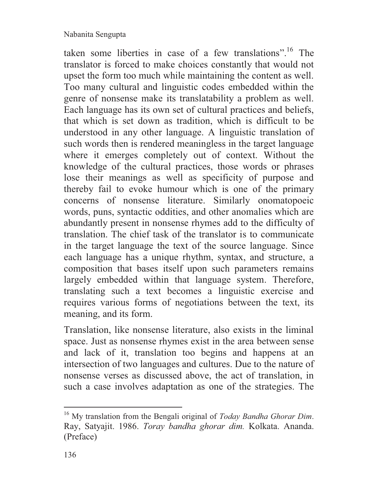taken some liberties in case of a few translations".<sup>16</sup> The translator is forced to make choices constantly that would not upset the form too much while maintaining the content as well. Too many cultural and linguistic codes embedded within the genre of nonsense make its translatability a problem as well. Each language has its own set of cultural practices and beliefs, that which is set down as tradition, which is difficult to be understood in any other language. A linguistic translation of such words then is rendered meaningless in the target language where it emerges completely out of context. Without the knowledge of the cultural practices, those words or phrases lose their meanings as well as specificity of purpose and thereby fail to evoke humour which is one of the primary concerns of nonsense literature. Similarly onomatopoeic words, puns, syntactic oddities, and other anomalies which are abundantly present in nonsense rhymes add to the difficulty of translation. The chief task of the translator is to communicate in the target language the text of the source language. Since each language has a unique rhythm, syntax, and structure, a composition that bases itself upon such parameters remains largely embedded within that language system. Therefore, translating such a text becomes a linguistic exercise and requires various forms of negotiations between the text, its meaning, and its form.

Translation, like nonsense literature, also exists in the liminal space. Just as nonsense rhymes exist in the area between sense and lack of it, translation too begins and happens at an intersection of two languages and cultures. Due to the nature of nonsense verses as discussed above, the act of translation, in such a case involves adaptation as one of the strategies. The

<sup>16</sup> My translation from the Bengali original of *Today Bandha Ghorar Dim*. Ray, Satyajit. 1986. *Toray bandha ghorar dim.* Kolkata. Ananda. (Preface)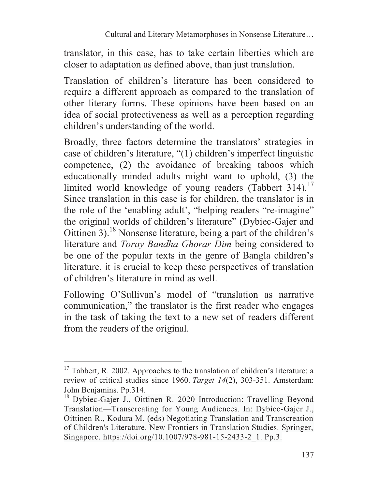translator, in this case, has to take certain liberties which are closer to adaptation as defined above, than just translation.

Translation of children's literature has been considered to require a different approach as compared to the translation of other literary forms. These opinions have been based on an idea of social protectiveness as well as a perception regarding children's understanding of the world.

Broadly, three factors determine the translators' strategies in case of children's literature, "(1) children's imperfect linguistic competence, (2) the avoidance of breaking taboos which educationally minded adults might want to uphold, (3) the limited world knowledge of young readers (Tabbert 314).<sup>17</sup> Since translation in this case is for children, the translator is in the role of the 'enabling adult', "helping readers "re-imagine" the original worlds of children's literature" (Dybiec-Gajer and Oittinen 3).<sup>18</sup> Nonsense literature, being a part of the children's literature and *Toray Bandha Ghorar Dim* being considered to be one of the popular texts in the genre of Bangla children's literature, it is crucial to keep these perspectives of translation of children's literature in mind as well.

Following O'Sullivan's model of "translation as narrative communication," the translator is the first reader who engages in the task of taking the text to a new set of readers different from the readers of the original.

 $17$  Tabbert, R. 2002. Approaches to the translation of children's literature: a review of critical studies since 1960. *Target 14*(2), 303-351. Amsterdam: John Benjamins. Pp.314.

<sup>18</sup> Dybiec-Gajer J., Oittinen R. 2020 Introduction: Travelling Beyond Translation—Transcreating for Young Audiences. In: Dybiec-Gajer J., Oittinen R., Kodura M. (eds) Negotiating Translation and Transcreation of Children's Literature. New Frontiers in Translation Studies. Springer, Singapore. https://doi.org/10.1007/978-981-15-2433-2 1. Pp.3.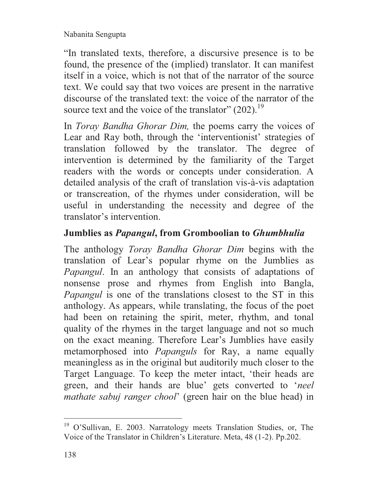"In translated texts, therefore, a discursive presence is to be found, the presence of the (implied) translator. It can manifest itself in a voice, which is not that of the narrator of the source text. We could say that two voices are present in the narrative discourse of the translated text: the voice of the narrator of the source text and the voice of the translator"  $(202)$ .<sup>19</sup>

In *Toray Bandha Ghorar Dim,* the poems carry the voices of Lear and Ray both, through the 'interventionist' strategies of translation followed by the translator. The degree of intervention is determined by the familiarity of the Target readers with the words or concepts under consideration. A detailed analysis of the craft of translation vis-à-vis adaptation or transcreation, of the rhymes under consideration, will be useful in understanding the necessity and degree of the translator's intervention.

# **Jumblies as** *Papangul***, from Gromboolian to** *Ghumbhulia*

The anthology *Toray Bandha Ghorar Dim* begins with the translation of Lear's popular rhyme on the Jumblies as *Papangul*. In an anthology that consists of adaptations of nonsense prose and rhymes from English into Bangla, *Papangul* is one of the translations closest to the ST in this anthology. As appears, while translating, the focus of the poet had been on retaining the spirit, meter, rhythm, and tonal quality of the rhymes in the target language and not so much on the exact meaning. Therefore Lear's Jumblies have easily metamorphosed into *Papanguls* for Ray, a name equally meaningless as in the original but auditorily much closer to the Target Language. To keep the meter intact, 'their heads are green, and their hands are blue' gets converted to '*neel mathate sabuj ranger chool*' (green hair on the blue head) in

<sup>&</sup>lt;sup>19</sup> O'Sullivan, E. 2003. Narratology meets Translation Studies, or, The Voice of the Translator in Children's Literature. Meta, 48 (1-2). Pp.202.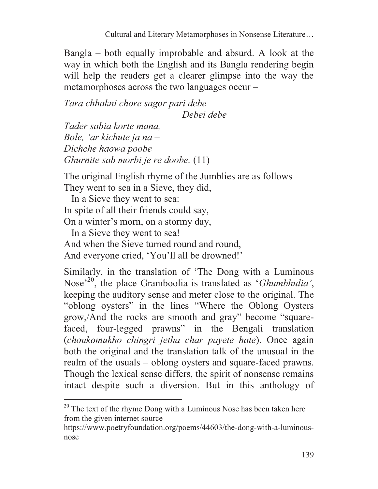Bangla – both equally improbable and absurd. A look at the way in which both the English and its Bangla rendering begin will help the readers get a clearer glimpse into the way the metamorphoses across the two languages occur –

*Tara chhakni chore sagor pari debe* 

 *Debei debe* 

*Tader sabia korte mana, Bole, 'ar kichute ja na – Dichche haowa poobe Ghurnite sab morbi je re doobe.* (11)

The original English rhyme of the Jumblies are as follows – They went to sea in a Sieve, they did,

 In a Sieve they went to sea: In spite of all their friends could say, On a winter's morn, on a stormy day, In a Sieve they went to sea! And when the Sieve turned round and round, And everyone cried, 'You'll all be drowned!'

 $\overline{a}$ 

Similarly, in the translation of 'The Dong with a Luminous Nose'<sup>20</sup>, the place Gramboolia is translated as '*Ghumbhulia'*, keeping the auditory sense and meter close to the original. The "oblong oysters" in the lines "Where the Oblong Oysters grow,/And the rocks are smooth and gray" become "squarefaced, four-legged prawns" in the Bengali translation (*choukomukho chingri jetha char payete hate*). Once again both the original and the translation talk of the unusual in the realm of the usuals – oblong oysters and square-faced prawns. Though the lexical sense differs, the spirit of nonsense remains intact despite such a diversion. But in this anthology of

<sup>&</sup>lt;sup>20</sup> The text of the rhyme Dong with a Luminous Nose has been taken here from the given internet source

https://www.poetryfoundation.org/poems/44603/the-dong-with-a-luminousnose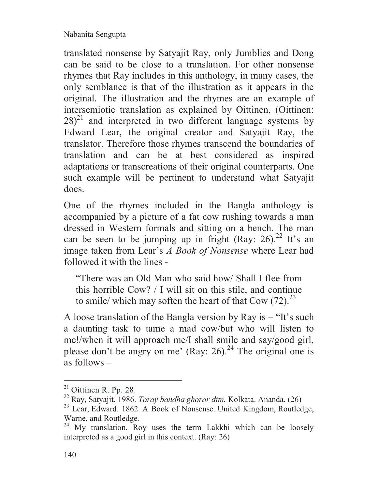translated nonsense by Satyajit Ray, only Jumblies and Dong can be said to be close to a translation. For other nonsense rhymes that Ray includes in this anthology, in many cases, the only semblance is that of the illustration as it appears in the original. The illustration and the rhymes are an example of intersemiotic translation as explained by Oittinen, (Oittinen:  $28)^{21}$  and interpreted in two different language systems by Edward Lear, the original creator and Satyajit Ray, the translator. Therefore those rhymes transcend the boundaries of translation and can be at best considered as inspired adaptations or transcreations of their original counterparts. One such example will be pertinent to understand what Satyajit does.

One of the rhymes included in the Bangla anthology is accompanied by a picture of a fat cow rushing towards a man dressed in Western formals and sitting on a bench. The man can be seen to be jumping up in fright (Ray: 26).<sup>22</sup> It's an image taken from Lear's *A Book of Nonsense* where Lear had followed it with the lines -

"There was an Old Man who said how/ Shall I flee from this horrible Cow? / I will sit on this stile, and continue to smile/ which may soften the heart of that Cow  $(72)^{23}$ .

A loose translation of the Bangla version by Ray is – "It's such a daunting task to tame a mad cow/but who will listen to me!/when it will approach me/I shall smile and say/good girl, please don't be angry on me' (Ray: 26).<sup>24</sup> The original one is as follows –

 $21$  Oittinen R. Pp. 28.

<sup>22</sup> Ray, Satyajit. 1986. *Toray bandha ghorar dim.* Kolkata. Ananda. (26)

<sup>&</sup>lt;sup>23</sup> Lear, Edward. 1862. A Book of Nonsense. United Kingdom, Routledge, Warne, and Routledge.<br><sup>24</sup> My translation. Ro

My translation. Roy uses the term Lakkhi which can be loosely interpreted as a good girl in this context. (Ray: 26)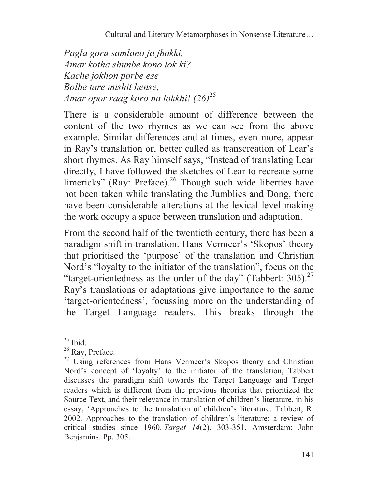*Pagla goru samlano ja jhokki, Amar kotha shunbe kono lok ki? Kache jokhon porbe ese Bolbe tare mishit hense, Amar opor raag koro na lokkhi! (26)*<sup>25</sup>

There is a considerable amount of difference between the content of the two rhymes as we can see from the above example. Similar differences and at times, even more, appear in Ray's translation or, better called as transcreation of Lear's short rhymes. As Ray himself says, "Instead of translating Lear directly, I have followed the sketches of Lear to recreate some limericks" (Ray: Preface). $2^6$  Though such wide liberties have not been taken while translating the Jumblies and Dong, there have been considerable alterations at the lexical level making the work occupy a space between translation and adaptation.

From the second half of the twentieth century, there has been a paradigm shift in translation. Hans Vermeer's 'Skopos' theory that prioritised the 'purpose' of the translation and Christian Nord's "loyalty to the initiator of the translation", focus on the "target-orientedness as the order of the day" (Tabbert:  $305$ ).<sup>27</sup> Ray's translations or adaptations give importance to the same 'target-orientedness', focussing more on the understanding of the Target Language readers. This breaks through the

 $25$  Ibid.

<sup>&</sup>lt;sup>26</sup> Ray, Preface.

 $27$  Using references from Hans Vermeer's Skopos theory and Christian Nord's concept of 'loyalty' to the initiator of the translation, Tabbert discusses the paradigm shift towards the Target Language and Target readers which is different from the previous theories that prioritized the Source Text, and their relevance in translation of children's literature, in his essay, 'Approaches to the translation of children's literature. Tabbert, R. 2002. Approaches to the translation of children's literature: a review of critical studies since 1960. *Target 14*(2), 303-351. Amsterdam: John Benjamins. Pp. 305.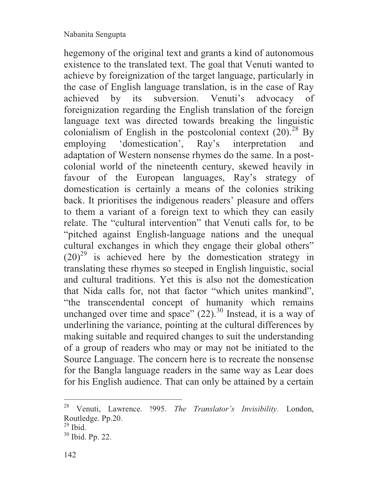hegemony of the original text and grants a kind of autonomous existence to the translated text. The goal that Venuti wanted to achieve by foreignization of the target language, particularly in the case of English language translation, is in the case of Ray achieved by its subversion. Venuti's advocacy of foreignization regarding the English translation of the foreign language text was directed towards breaking the linguistic colonialism of English in the postcolonial context  $(20)^{28}$  By employing 'domestication', Ray's interpretation and adaptation of Western nonsense rhymes do the same. In a postcolonial world of the nineteenth century, skewed heavily in favour of the European languages, Ray's strategy of domestication is certainly a means of the colonies striking back. It prioritises the indigenous readers' pleasure and offers to them a variant of a foreign text to which they can easily relate. The "cultural intervention" that Venuti calls for, to be "pitched against English-language nations and the unequal cultural exchanges in which they engage their global others"  $(20)^{29}$  is achieved here by the domestication strategy in translating these rhymes so steeped in English linguistic, social and cultural traditions. Yet this is also not the domestication that Nida calls for, not that factor "which unites mankind", "the transcendental concept of humanity which remains unchanged over time and space"  $(22)$ .<sup>30</sup> Instead, it is a way of underlining the variance, pointing at the cultural differences by making suitable and required changes to suit the understanding of a group of readers who may or may not be initiated to the Source Language. The concern here is to recreate the nonsense for the Bangla language readers in the same way as Lear does for his English audience. That can only be attained by a certain

<sup>28</sup> Venuti, Lawrence. !995. *The Translator's Invisibility.* London, Routledge. Pp.20.

 $^{29}$  Ibid.

<sup>30</sup> Ibid. Pp. 22.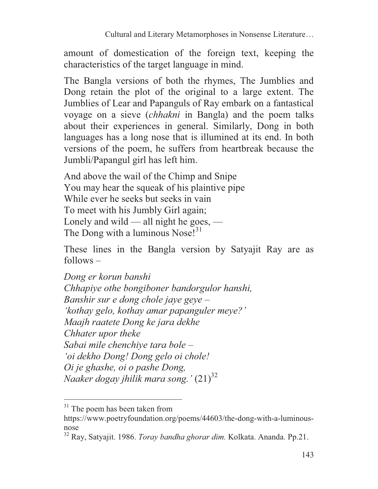amount of domestication of the foreign text, keeping the characteristics of the target language in mind.

The Bangla versions of both the rhymes, The Jumblies and Dong retain the plot of the original to a large extent. The Jumblies of Lear and Papanguls of Ray embark on a fantastical voyage on a sieve (*chhakni* in Bangla) and the poem talks about their experiences in general. Similarly, Dong in both languages has a long nose that is illumined at its end. In both versions of the poem, he suffers from heartbreak because the Jumbli/Papangul girl has left him.

And above the wail of the Chimp and Snipe You may hear the squeak of his plaintive pipe While ever he seeks but seeks in vain To meet with his Jumbly Girl again; Lonely and wild — all night he goes, — The Dong with a luminous Nose! $31$ 

These lines in the Bangla version by Satyajit Ray are as  $follows -$ 

*Dong er korun banshi Chhapiye othe bongiboner bandorgulor hanshi, Banshir sur e dong chole jaye geye – 'kothay gelo, kothay amar papanguler meye?' Maajh raatete Dong ke jara dekhe Chhater upor theke Sabai mile chenchiye tara bole – 'oi dekho Dong! Dong gelo oi chole! Oi je ghashe, oi o pashe Dong, Naaker dogay jhilik mara song.'* (21)<sup>32</sup>

 $31$  The poem has been taken from

https://www.poetryfoundation.org/poems/44603/the-dong-with-a-luminousnose

<sup>32</sup> Ray, Satyajit. 1986. *Toray bandha ghorar dim.* Kolkata. Ananda. Pp.21.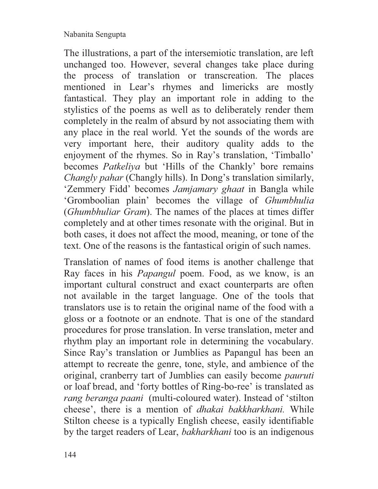The illustrations, a part of the intersemiotic translation, are left unchanged too. However, several changes take place during the process of translation or transcreation. The places mentioned in Lear's rhymes and limericks are mostly fantastical. They play an important role in adding to the stylistics of the poems as well as to deliberately render them completely in the realm of absurd by not associating them with any place in the real world. Yet the sounds of the words are very important here, their auditory quality adds to the enjoyment of the rhymes. So in Ray's translation, 'Timballo' becomes *Patkeliya* but 'Hills of the Chankly' bore remains *Changly pahar* (Changly hills). In Dong's translation similarly, 'Zemmery Fidd' becomes *Jamjamary ghaat* in Bangla while 'Gromboolian plain' becomes the village of *Ghumbhulia* (*Ghumbhuliar Gram*). The names of the places at times differ completely and at other times resonate with the original. But in both cases, it does not affect the mood, meaning, or tone of the text. One of the reasons is the fantastical origin of such names.

Translation of names of food items is another challenge that Ray faces in his *Papangul* poem. Food, as we know, is an important cultural construct and exact counterparts are often not available in the target language. One of the tools that translators use is to retain the original name of the food with a gloss or a footnote or an endnote. That is one of the standard procedures for prose translation. In verse translation, meter and rhythm play an important role in determining the vocabulary. Since Ray's translation or Jumblies as Papangul has been an attempt to recreate the genre, tone, style, and ambience of the original, cranberry tart of Jumblies can easily become *pauruti*  or loaf bread, and 'forty bottles of Ring-bo-ree' is translated as *rang beranga paani* (multi-coloured water). Instead of 'stilton cheese', there is a mention of *dhakai bakkharkhani.* While Stilton cheese is a typically English cheese, easily identifiable by the target readers of Lear, *bakharkhani* too is an indigenous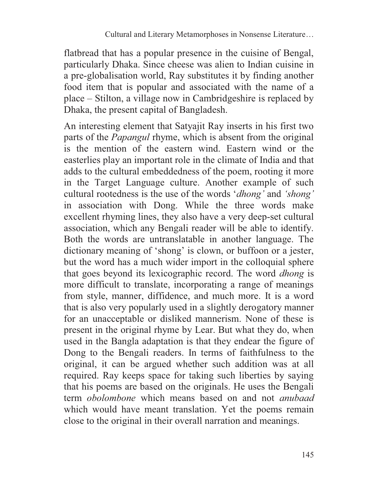flatbread that has a popular presence in the cuisine of Bengal, particularly Dhaka. Since cheese was alien to Indian cuisine in a pre-globalisation world, Ray substitutes it by finding another food item that is popular and associated with the name of a place – Stilton, a village now in Cambridgeshire is replaced by Dhaka, the present capital of Bangladesh.

An interesting element that Satyajit Ray inserts in his first two parts of the *Papangul* rhyme, which is absent from the original is the mention of the eastern wind. Eastern wind or the easterlies play an important role in the climate of India and that adds to the cultural embeddedness of the poem, rooting it more in the Target Language culture. Another example of such cultural rootedness is the use of the words '*dhong'* and *'shong'*  in association with Dong. While the three words make excellent rhyming lines, they also have a very deep-set cultural association, which any Bengali reader will be able to identify. Both the words are untranslatable in another language. The dictionary meaning of 'shong' is clown, or buffoon or a jester, but the word has a much wider import in the colloquial sphere that goes beyond its lexicographic record. The word *dhong* is more difficult to translate, incorporating a range of meanings from style, manner, diffidence, and much more. It is a word that is also very popularly used in a slightly derogatory manner for an unacceptable or disliked mannerism. None of these is present in the original rhyme by Lear. But what they do, when used in the Bangla adaptation is that they endear the figure of Dong to the Bengali readers. In terms of faithfulness to the original, it can be argued whether such addition was at all required. Ray keeps space for taking such liberties by saying that his poems are based on the originals. He uses the Bengali term *obolombone* which means based on and not *anubaad*  which would have meant translation. Yet the poems remain close to the original in their overall narration and meanings.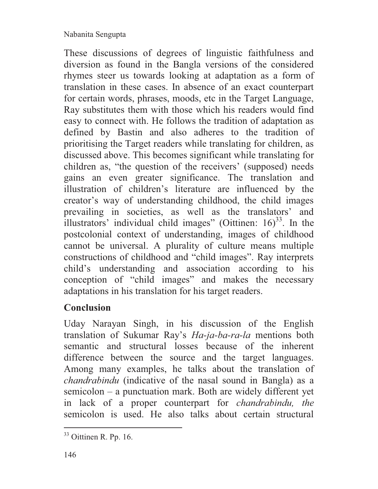These discussions of degrees of linguistic faithfulness and diversion as found in the Bangla versions of the considered rhymes steer us towards looking at adaptation as a form of translation in these cases. In absence of an exact counterpart for certain words, phrases, moods, etc in the Target Language, Ray substitutes them with those which his readers would find easy to connect with. He follows the tradition of adaptation as defined by Bastin and also adheres to the tradition of prioritising the Target readers while translating for children, as discussed above. This becomes significant while translating for children as, "the question of the receivers' (supposed) needs gains an even greater significance. The translation and illustration of children's literature are influenced by the creator's way of understanding childhood, the child images prevailing in societies, as well as the translators' and illustrators' individual child images" (Oittinen:  $16<sup>33</sup>$ . In the postcolonial context of understanding, images of childhood cannot be universal. A plurality of culture means multiple constructions of childhood and "child images". Ray interprets child's understanding and association according to his conception of "child images" and makes the necessary adaptations in his translation for his target readers.

# **Conclusion**

Uday Narayan Singh, in his discussion of the English translation of Sukumar Ray's *Ha-ja-ba-ra-la* mentions both semantic and structural losses because of the inherent difference between the source and the target languages. Among many examples, he talks about the translation of *chandrabindu* (indicative of the nasal sound in Bangla) as a semicolon – a punctuation mark. Both are widely different yet in lack of a proper counterpart for *chandrabindu, the*  semicolon is used. He also talks about certain structural

<sup>33</sup> Oittinen R. Pp. 16.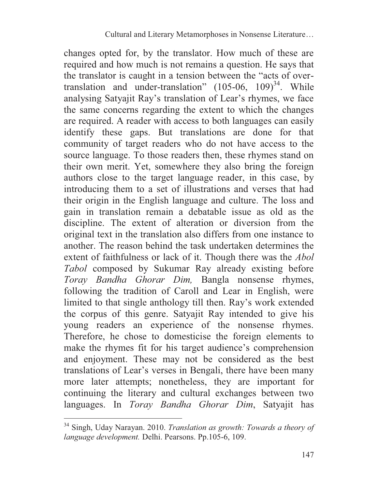changes opted for, by the translator. How much of these are required and how much is not remains a question. He says that the translator is caught in a tension between the "acts of overtranslation and under-translation"  $(105-06, 109)^{34}$ . While analysing Satyajit Ray's translation of Lear's rhymes, we face the same concerns regarding the extent to which the changes are required. A reader with access to both languages can easily identify these gaps. But translations are done for that community of target readers who do not have access to the source language. To those readers then, these rhymes stand on their own merit. Yet, somewhere they also bring the foreign authors close to the target language reader, in this case, by introducing them to a set of illustrations and verses that had their origin in the English language and culture. The loss and gain in translation remain a debatable issue as old as the discipline. The extent of alteration or diversion from the original text in the translation also differs from one instance to another. The reason behind the task undertaken determines the extent of faithfulness or lack of it. Though there was the *Abol Tabol* composed by Sukumar Ray already existing before *Toray Bandha Ghorar Dim,* Bangla nonsense rhymes, following the tradition of Caroll and Lear in English, were limited to that single anthology till then. Ray's work extended the corpus of this genre. Satyajit Ray intended to give his young readers an experience of the nonsense rhymes. Therefore, he chose to domesticise the foreign elements to make the rhymes fit for his target audience's comprehension and enjoyment. These may not be considered as the best translations of Lear's verses in Bengali, there have been many more later attempts; nonetheless, they are important for continuing the literary and cultural exchanges between two languages. In *Toray Bandha Ghorar Dim*, Satyajit has

<sup>34</sup> Singh, Uday Narayan. 2010. *Translation as growth: Towards a theory of language development.* Delhi. Pearsons. Pp.105-6, 109.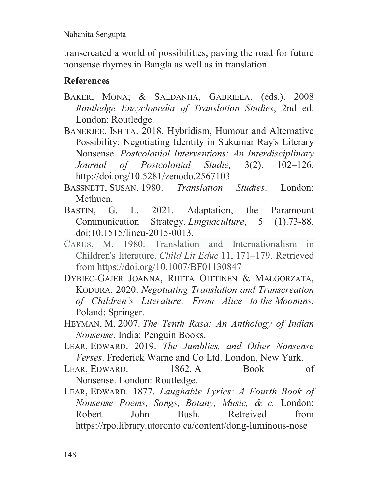transcreated a world of possibilities, paving the road for future nonsense rhymes in Bangla as well as in translation.

## **References**

- BAKER, MONA; & SALDANHA, GABRIELA. (eds.). 2008 *Routledge Encyclopedia of Translation Studies*, 2nd ed. London: Routledge.
- BANERJEE, ISHITA. 2018. Hybridism, Humour and Alternative Possibility: Negotiating Identity in Sukumar Ray's Literary Nonsense. *Postcolonial Interventions: An Interdisciplinary Journal of Postcolonial Studie,* 3(2). 102–126. http://doi.org/10.5281/zenodo.2567103
- BASSNETT, SUSAN. 1980. *Translation Studies*. London: Methuen.
- BASTIN, G. L. 2021. Adaptation, the Paramount Communication Strategy. *Linguaculture*, 5 (1).73-88. doi:10.1515/lincu-2015-0013.
- CARUS, M. 1980. Translation and Internationalism in Children's literature. *Child Lit Educ* 11, 171–179. Retrieved from https://doi.org/10.1007/BF01130847
- DYBIEC-GAJER JOANNA, RIITTA OITTINEN & MAŁGORZATA, KODURA. 2020. *Negotiating Translation and Transcreation of Children's Literature: From Alice to the Moomins.*  Poland: Springer.
- HEYMAN, M. 2007. *The Tenth Rasa: An Anthology of Indian Nonsense*. India: Penguin Books.
- LEAR, EDWARD. 2019. *The Jumblies, and Other Nonsense Verses*. Frederick Warne and Co Ltd. London, New Yark.
- LEAR, EDWARD. 1862. A Book of Nonsense. London: Routledge.
- LEAR, EDWARD. 1877. *Laughable Lyrics: A Fourth Book of Nonsense Poems, Songs, Botany, Music, & c.* London: Robert John Bush. Retreived from https://rpo.library.utoronto.ca/content/dong-luminous-nose